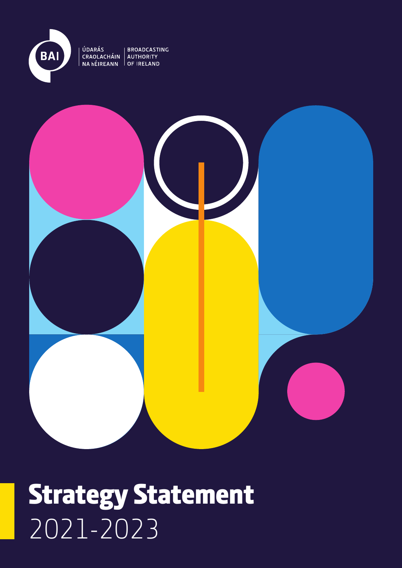

ÚDARÁS

**BROADCASTING** CRAOLACHÁIN AUTHORITY<br>NA hÉIREANN OF IRELAND



### Strategy Statement 2021-2023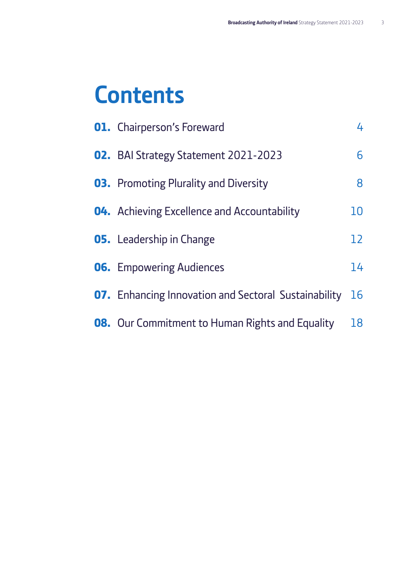### **Contents**

| <b>01.</b> Chairperson's Foreward                           | 4                 |
|-------------------------------------------------------------|-------------------|
| <b>02.</b> BAI Strategy Statement 2021-2023                 | 6                 |
| <b>03.</b> Promoting Plurality and Diversity                | 8                 |
| <b>04.</b> Achieving Excellence and Accountability          | 10                |
| <b>05.</b> Leadership in Change                             | $12 \overline{ }$ |
| <b>06.</b> Empowering Audiences                             | 14                |
| <b>07.</b> Enhancing Innovation and Sectoral Sustainability | 16                |
| <b>08.</b> Our Commitment to Human Rights and Equality      | 18                |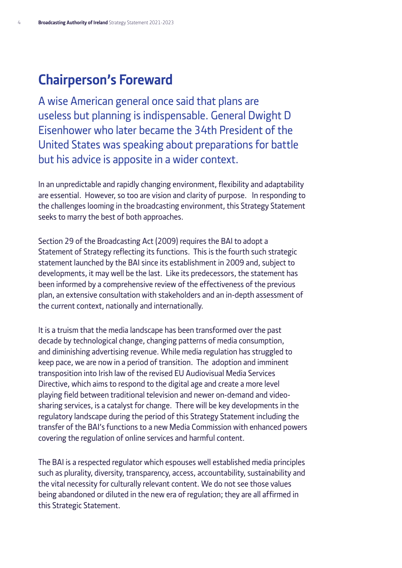#### <span id="page-3-0"></span>**Chairperson's Foreward**

A wise American general once said that plans are useless but planning is indispensable. General Dwight D Eisenhower who later became the 34th President of the United States was speaking about preparations for battle but his advice is apposite in a wider context.

In an unpredictable and rapidly changing environment, flexibility and adaptability are essential. However, so too are vision and clarity of purpose. In responding to the challenges looming in the broadcasting environment, this Strategy Statement seeks to marry the best of both approaches.

Section 29 of the Broadcasting Act (2009) requires the BAI to adopt a Statement of Strategy reflecting its functions. This is the fourth such strategic statement launched by the BAI since its establishment in 2009 and, subject to developments, it may well be the last. Like its predecessors, the statement has been informed by a comprehensive review of the effectiveness of the previous plan, an extensive consultation with stakeholders and an in-depth assessment of the current context, nationally and internationally.

It is a truism that the media landscape has been transformed over the past decade by technological change, changing patterns of media consumption, and diminishing advertising revenue. While media regulation has struggled to keep pace, we are now in a period of transition. The adoption and imminent transposition into Irish law of the revised EU Audiovisual Media Services Directive, which aims to respond to the digital age and create a more level playing field between traditional television and newer on-demand and videosharing services, is a catalyst for change. There will be key developments in the regulatory landscape during the period of this Strategy Statement including the transfer of the BAI's functions to a new Media Commission with enhanced powers covering the regulation of online services and harmful content.

The BAI is a respected regulator which espouses well established media principles such as plurality, diversity, transparency, access, accountability, sustainability and the vital necessity for culturally relevant content. We do not see those values being abandoned or diluted in the new era of regulation; they are all affirmed in this Strategic Statement.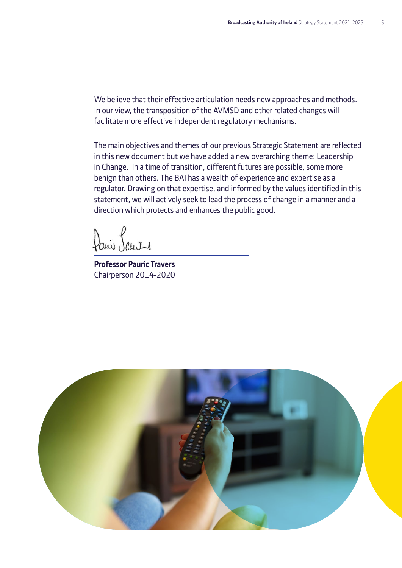We believe that their effective articulation needs new approaches and methods. In our view, the transposition of the AVMSD and other related changes will facilitate more effective independent regulatory mechanisms.

The main objectives and themes of our previous Strategic Statement are reflected in this new document but we have added a new overarching theme: Leadership in Change. In a time of transition, different futures are possible, some more benign than others. The BAI has a wealth of experience and expertise as a regulator. Drawing on that expertise, and informed by the values identified in this statement, we will actively seek to lead the process of change in a manner and a direction which protects and enhances the public good.

Dani Laurs

**Professor Pauric Travers** Chairperson 2014-2020

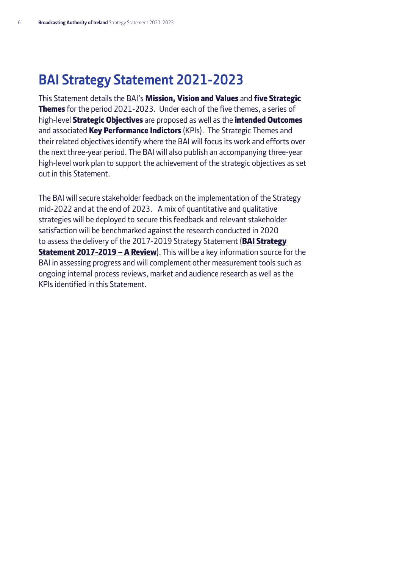### <span id="page-5-0"></span>**BAI Strategy Statement 2021-2023**

This Statement details the BAI's Mission, Vision and Values and five Strategic **Themes** for the period 2021-2023. Under each of the five themes, a series of high-level **Strategic Objectives** are proposed as well as the *intended Outcomes* and associated **Key Performance Indictors** (KPIs). The Strategic Themes and their related objectives identify where the BAI will focus its work and efforts over the next three-year period. The BAI will also publish an accompanying three-year high-level work plan to support the achievement of the strategic objectives as set out in this Statement.

The BAI will secure stakeholder feedback on the implementation of the Strategy mid-2022 and at the end of 2023. A mix of quantitative and qualitative strategies will be deployed to secure this feedback and relevant stakeholder satisfaction will be benchmarked against the research conducted in 2020 to assess the delivery of the 2017-2019 Strategy Statement (BAI Strategy **[Statement 2017-2019 – A Review](https://bit.ly/3pg5J4N)**). This will be a key information source for the BAI in assessing progress and will complement other measurement tools such as ongoing internal process reviews, market and audience research as well as the KPIs identified in this Statement.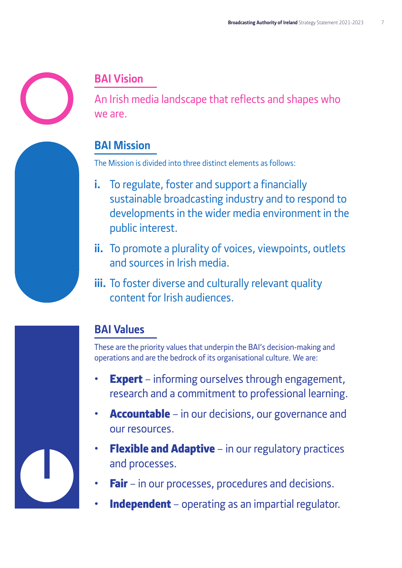

### **BAI Vision**

An Irish media landscape that reflects and shapes who we are.

#### **BAI Mission**

The Mission is divided into three distinct elements as follows:

- **i.** To regulate, foster and support a financially sustainable broadcasting industry and to respond to developments in the wider media environment in the public interest.
- **ii.** To promote a plurality of voices, viewpoints, outlets and sources in Irish media.
- **iii.** To foster diverse and culturally relevant quality content for Irish audiences.

#### **BAI Values**

These are the priority values that underpin the BAI's decision-making and operations and are the bedrock of its organisational culture. We are:

- **Expert** informing ourselves through engagement, research and a commitment to professional learning.
- **Accountable** in our decisions, our governance and our resources.
- **Flexible and Adaptive** in our regulatory practices and processes.
- **Fair** in our processes, procedures and decisions.
- **Independent** operating as an impartial regulator.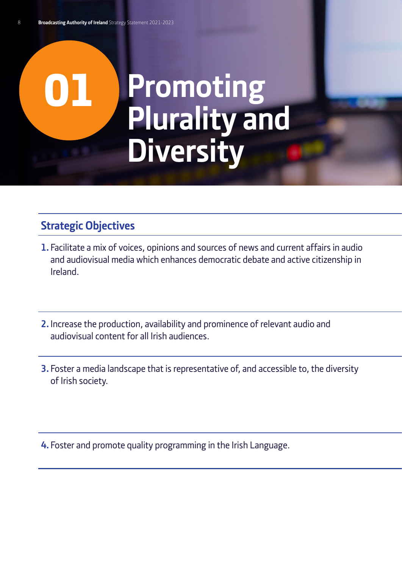### <span id="page-7-0"></span>01 **Promoting Plurality and Diversity**

#### **Strategic Objectives**

- **1.** Facilitate a mix of voices, opinions and sources of news and current affairs in audio and audiovisual media which enhances democratic debate and active citizenship in Ireland.
- **2.**Increase the production, availability and prominence of relevant audio and audiovisual content for all Irish audiences.
- **3.** Foster a media landscape that is representative of, and accessible to, the diversity of Irish society.

**4.** Foster and promote quality programming in the Irish Language.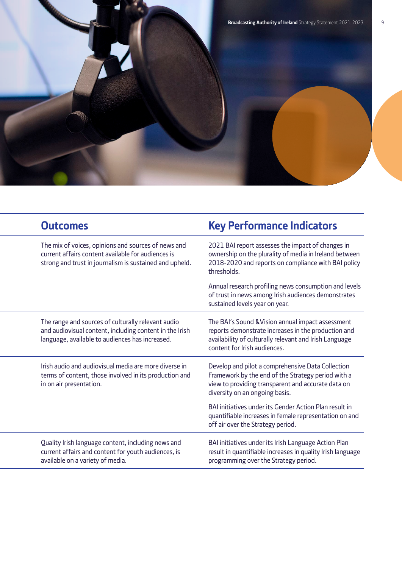

| <b>Outcomes</b>                                                                                                                                                      | <b>Key Performance Indicators</b>                                                                                                                                                                  |
|----------------------------------------------------------------------------------------------------------------------------------------------------------------------|----------------------------------------------------------------------------------------------------------------------------------------------------------------------------------------------------|
| The mix of voices, opinions and sources of news and<br>current affairs content available for audiences is<br>strong and trust in journalism is sustained and upheld. | 2021 BAI report assesses the impact of changes in<br>ownership on the plurality of media in Ireland between<br>2018-2020 and reports on compliance with BAI policy<br>thresholds.                  |
|                                                                                                                                                                      | Annual research profiling news consumption and levels<br>of trust in news among Irish audiences demonstrates<br>sustained levels year on year.                                                     |
| The range and sources of culturally relevant audio<br>and audiovisual content, including content in the Irish<br>language, available to audiences has increased.     | The BAI's Sound & Vision annual impact assessment<br>reports demonstrate increases in the production and<br>availability of culturally relevant and Irish Language<br>content for Irish audiences. |
| Irish audio and audiovisual media are more diverse in<br>terms of content, those involved in its production and<br>in on air presentation.                           | Develop and pilot a comprehensive Data Collection<br>Framework by the end of the Strategy period with a<br>view to providing transparent and accurate data on<br>diversity on an ongoing basis.    |
|                                                                                                                                                                      | BAI initiatives under its Gender Action Plan result in<br>quantifiable increases in female representation on and<br>off air over the Strategy period.                                              |
| Quality Irish language content, including news and<br>current affairs and content for youth audiences, is<br>available on a variety of media.                        | BAI initiatives under its Irish Language Action Plan<br>result in quantifiable increases in quality Irish language<br>programming over the Strategy period.                                        |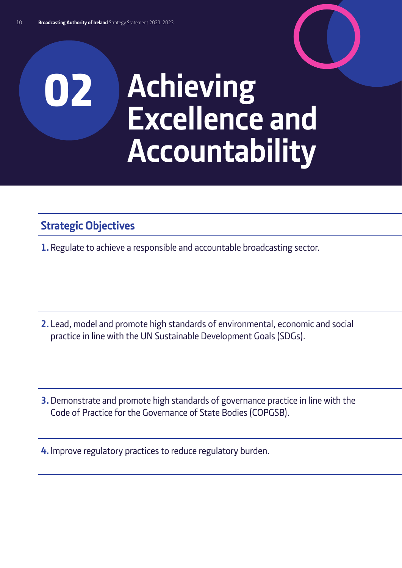## <span id="page-9-0"></span>02 **Achieving Excellence and Accountability**

#### **Strategic Objectives**

**1.** Regulate to achieve a responsible and accountable broadcasting sector.

**2.** Lead, model and promote high standards of environmental, economic and social practice in line with the UN Sustainable Development Goals (SDGs).

**3.**Demonstrate and promote high standards of governance practice in line with the Code of Practice for the Governance of State Bodies (COPGSB).

**4.** Improve regulatory practices to reduce regulatory burden.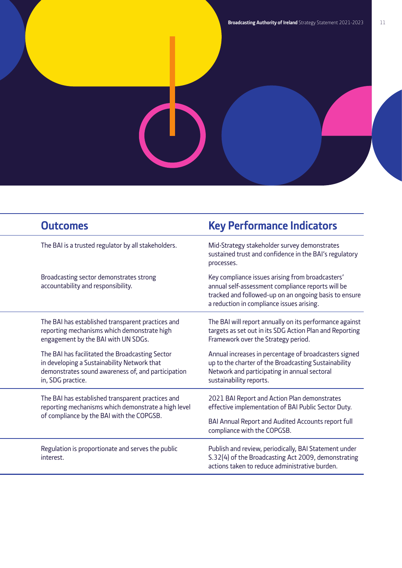|  | <b>Outcomes</b>                                                                                                                                                           | <b>Key Performance Indicators</b>                                                                                                                                                                           |
|--|---------------------------------------------------------------------------------------------------------------------------------------------------------------------------|-------------------------------------------------------------------------------------------------------------------------------------------------------------------------------------------------------------|
|  | The BAI is a trusted regulator by all stakeholders.                                                                                                                       | Mid-Strategy stakeholder survey demonstrates<br>sustained trust and confidence in the BAI's regulatory<br>processes.                                                                                        |
|  | Broadcasting sector demonstrates strong<br>accountability and responsibility.                                                                                             | Key compliance issues arising from broadcasters'<br>annual self-assessment compliance reports will be<br>tracked and followed-up on an ongoing basis to ensure<br>a reduction in compliance issues arising. |
|  | The BAI has established transparent practices and<br>reporting mechanisms which demonstrate high<br>engagement by the BAI with UN SDGs.                                   | The BAI will report annually on its performance against<br>targets as set out in its SDG Action Plan and Reporting<br>Framework over the Strategy period.                                                   |
|  | The BAI has facilitated the Broadcasting Sector<br>in developing a Sustainability Network that<br>demonstrates sound awareness of, and participation<br>in, SDG practice. | Annual increases in percentage of broadcasters signed<br>up to the charter of the Broadcasting Sustainability<br>Network and participating in annual sectoral<br>sustainability reports.                    |
|  | The BAI has established transparent practices and<br>reporting mechanisms which demonstrate a high level<br>of compliance by the BAI with the COPGSB.                     | 2021 BAI Report and Action Plan demonstrates<br>effective implementation of BAI Public Sector Duty.                                                                                                         |
|  |                                                                                                                                                                           | BAI Annual Report and Audited Accounts report full<br>compliance with the COPGSB.                                                                                                                           |
|  | Regulation is proportionate and serves the public<br>interest.                                                                                                            | Publish and review, periodically, BAI Statement under<br>S.32(4) of the Broadcasting Act 2009, demonstrating<br>actions taken to reduce administrative burden.                                              |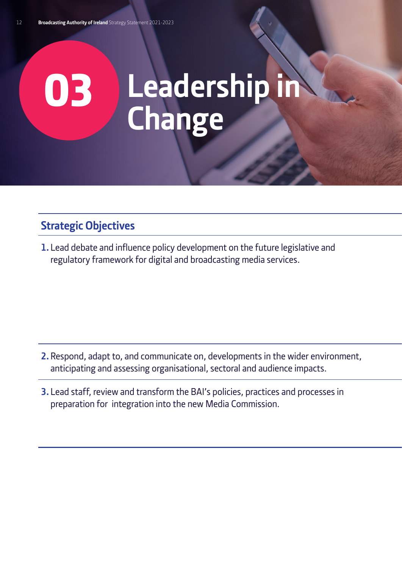# <span id="page-11-0"></span>03 **Leadership in Change**

#### **Strategic Objectives**

**1.** Lead debate and influence policy development on the future legislative and regulatory framework for digital and broadcasting media services.

- **2.** Respond, adapt to, and communicate on, developments in the wider environment, anticipating and assessing organisational, sectoral and audience impacts.
- **3.** Lead staff, review and transform the BAI's policies, practices and processes in preparation for integration into the new Media Commission.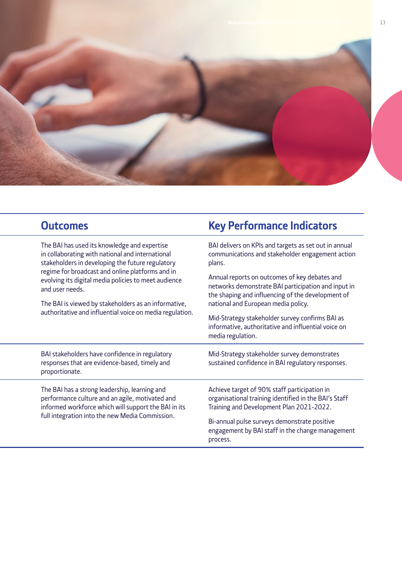

The BAI has used its knowledge and expertise in collaborating with national and international stakeholders in developing the future regulatory regime for broadcast and online platforms and in evolving its digital media policies to meet audience and user needs.

The BAI is viewed by stakeholders as an informative, authoritative and influential voice on media regulation.

BAI stakeholders have confidence in regulatory responses that are evidence-based, timely and proportionate.

The BAI has a strong leadership, learning and performance culture and an agile, motivated and informed workforce which will support the BAI in its full integration into the new Media Commission.

#### **Strategic Outcomes Strategic Contracts Rey Performance Indicators**

BAI delivers on KPIs and targets as set out in annual communications and stakeholder engagement action plans.

Annual reports on outcomes of key debates and networks demonstrate BAI participation and input in the shaping and influencing of the development of national and European media policy.

Mid-Strategy stakeholder survey confirms BAI as informative, authoritative and influential voice on media regulation.

Mid-Strategy stakeholder survey demonstrates sustained confidence in BAI regulatory responses.

Achieve target of 90% staff participation in organisational training identified in the BAI's Staff Training and Development Plan 2021-2022.

Bi-annual pulse surveys demonstrate positive engagement by BAI staff in the change management process.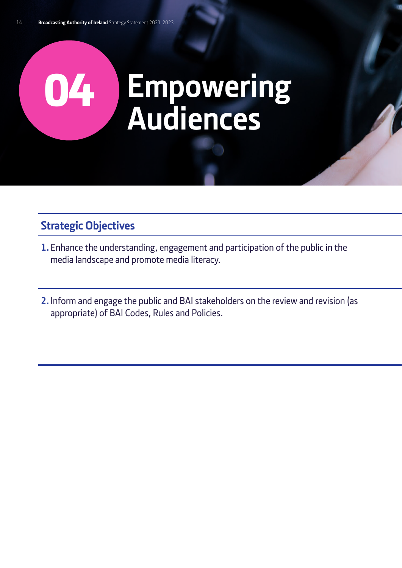## <span id="page-13-0"></span>04 **Empowering Audiences**

#### **Strategic Objectives**

- **1.** Enhance the understanding, engagement and participation of the public in the media landscape and promote media literacy.
- **2.**Inform and engage the public and BAI stakeholders on the review and revision (as appropriate) of BAI Codes, Rules and Policies.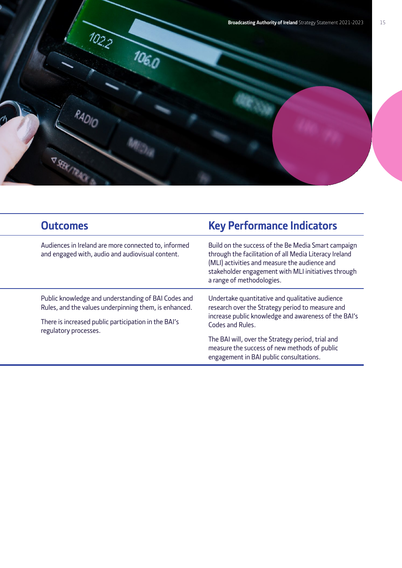

| <b>Outcomes</b>                                                                                                                                                                               | <b>Key Performance Indicators</b>                                                                                                                                                                                                                  |
|-----------------------------------------------------------------------------------------------------------------------------------------------------------------------------------------------|----------------------------------------------------------------------------------------------------------------------------------------------------------------------------------------------------------------------------------------------------|
| Audiences in Ireland are more connected to, informed<br>and engaged with, audio and audiovisual content.                                                                                      | Build on the success of the Be Media Smart campaign<br>through the facilitation of all Media Literacy Ireland<br>(MLI) activities and measure the audience and<br>stakeholder engagement with MLI initiatives through<br>a range of methodologies. |
| Public knowledge and understanding of BAI Codes and<br>Rules, and the values underpinning them, is enhanced.<br>There is increased public participation in the BAI's<br>regulatory processes. | Undertake quantitative and qualitative audience<br>research over the Strategy period to measure and<br>increase public knowledge and awareness of the BAI's<br>Codes and Rules.                                                                    |
|                                                                                                                                                                                               | The BAI will, over the Strategy period, trial and<br>measure the success of new methods of public<br>engagement in BAI public consultations.                                                                                                       |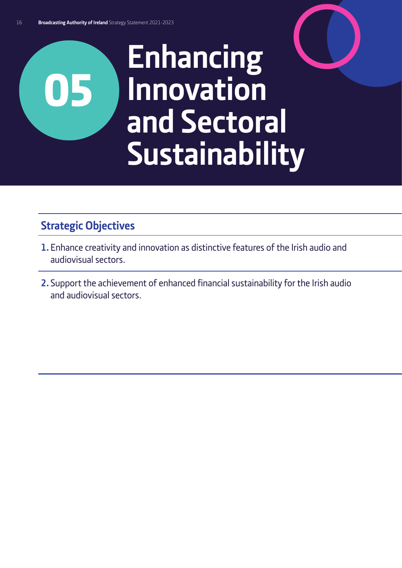## <span id="page-15-0"></span>**Enhancing Innovation and Sectoral Sustainability**

#### **Strategic Objectives**

- **1.** Enhance creativity and innovation as distinctive features of the Irish audio and audiovisual sectors.
- **2.** Support the achievement of enhanced financial sustainability for the Irish audio and audiovisual sectors.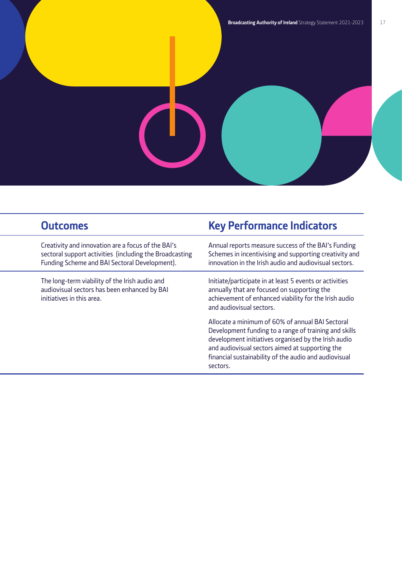Creativity and innovation are a focus of the BAI's sectoral support activities (including the Broadcasting Funding Scheme and BAI Sectoral Development).

The long-term viability of the Irish audio and audiovisual sectors has been enhanced by BAI initiatives in this area.

#### **Strategic Outcomes CO Key Performance Indicators**

Annual reports measure success of the BAI's Funding Schemes in incentivising and supporting creativity and innovation in the Irish audio and audiovisual sectors.

Initiate/participate in at least 5 events or activities annually that are focused on supporting the achievement of enhanced viability for the Irish audio and audiovisual sectors.

Allocate a minimum of 60% of annual BAI Sectoral Development funding to a range of training and skills development initiatives organised by the Irish audio and audiovisual sectors aimed at supporting the financial sustainability of the audio and audiovisual sectors.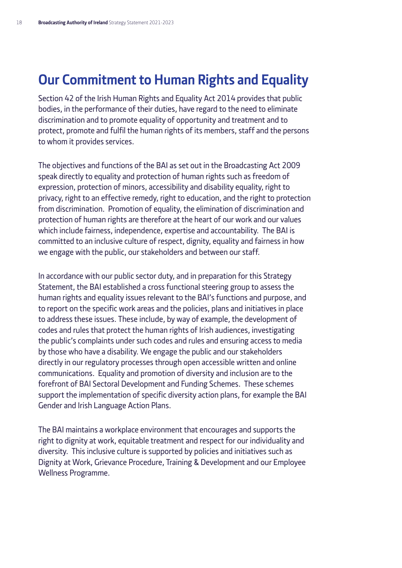#### <span id="page-17-0"></span>**Our Commitment to Human Rights and Equality**

Section 42 of the Irish Human Rights and Equality Act 2014 provides that public bodies, in the performance of their duties, have regard to the need to eliminate discrimination and to promote equality of opportunity and treatment and to protect, promote and fulfil the human rights of its members, staff and the persons to whom it provides services.

The objectives and functions of the BAI as set out in the Broadcasting Act 2009 speak directly to equality and protection of human rights such as freedom of expression, protection of minors, accessibility and disability equality, right to privacy, right to an effective remedy, right to education, and the right to protection from discrimination. Promotion of equality, the elimination of discrimination and protection of human rights are therefore at the heart of our work and our values which include fairness, independence, expertise and accountability. The BAI is committed to an inclusive culture of respect, dignity, equality and fairness in how we engage with the public, our stakeholders and between our staff.

In accordance with our public sector duty, and in preparation for this Strategy Statement, the BAI established a cross functional steering group to assess the human rights and equality issues relevant to the BAI's functions and purpose, and to report on the specific work areas and the policies, plans and initiatives in place to address these issues. These include, by way of example, the development of codes and rules that protect the human rights of Irish audiences, investigating the public's complaints under such codes and rules and ensuring access to media by those who have a disability. We engage the public and our stakeholders directly in our regulatory processes through open accessible written and online communications. Equality and promotion of diversity and inclusion are to the forefront of BAI Sectoral Development and Funding Schemes. These schemes support the implementation of specific diversity action plans, for example the BAI Gender and Irish Language Action Plans.

The BAI maintains a workplace environment that encourages and supports the right to dignity at work, equitable treatment and respect for our individuality and diversity. This inclusive culture is supported by policies and initiatives such as Dignity at Work, Grievance Procedure, Training & Development and our Employee Wellness Programme.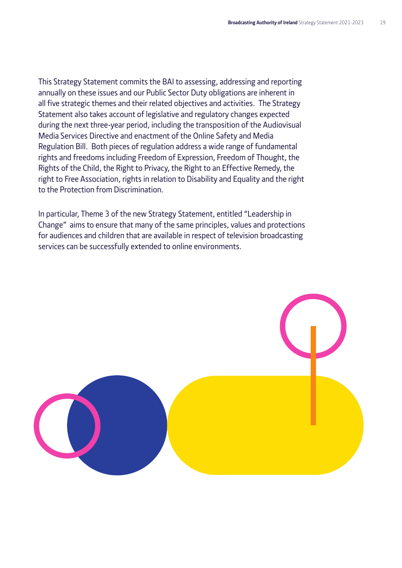This Strategy Statement commits the BAI to assessing, addressing and reporting annually on these issues and our Public Sector Duty obligations are inherent in all five strategic themes and their related objectives and activities. The Strategy Statement also takes account of legislative and regulatory changes expected during the next three-year period, including the transposition of the Audiovisual Media Services Directive and enactment of the Online Safety and Media Regulation Bill. Both pieces of regulation address a wide range of fundamental rights and freedoms including Freedom of Expression, Freedom of Thought, the Rights of the Child, the Right to Privacy, the Right to an Effective Remedy, the right to Free Association, rights in relation to Disability and Equality and the right to the Protection from Discrimination.

In particular, Theme 3 of the new Strategy Statement, entitled "Leadership in Change" aims to ensure that many of the same principles, values and protections for audiences and children that are available in respect of television broadcasting services can be successfully extended to online environments.